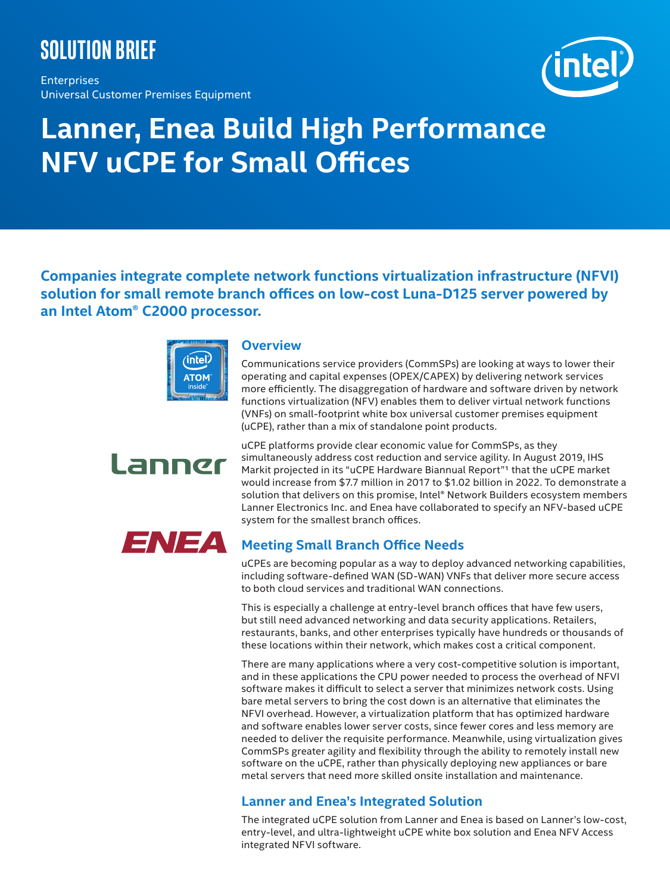## **Solution brief**

Enterprises Universal Customer Premises Equipment



# **Lanner, Enea Build High Performance NFV uCPE for Small Offices**

**Companies integrate complete network functions virtualization infrastructure (NFVI) solution for small remote branch offices on low-cost Luna-D125 server powered by an Intel Atom® C2000 processor.**



### **Overview**

Communications service providers (CommSPs) are looking at ways to lower their operating and capital expenses (OPEX/CAPEX) by delivering network services more efficiently. The disaggregation of hardware and software driven by network functions virtualization (NFV) enables them to deliver virtual network functions (VNFs) on small-footprint white box universal customer premises equipment (uCPE), rather than a mix of standalone point products.



uCPE platforms provide clear economic value for CommSPs, as they simultaneously address cost reduction and service agility. In August 2019, IHS Markit projected in its "uCPE Hardware Biannual Report"1 that the uCPE market would increase from \$7.7 million in 2017 to \$1.02 billion in 2022. To demonstrate a solution that delivers on this promise, Intel® Network Builders ecosystem members Lanner Electronics Inc. and Enea have collaborated to specify an NFV-based uCPE system for the smallest branch offices.



## **Meeting Small Branch Office Needs**

uCPEs are becoming popular as a way to deploy advanced networking capabilities, including software-defined WAN (SD-WAN) VNFs that deliver more secure access to both cloud services and traditional WAN connections.

This is especially a challenge at entry-level branch offices that have few users, but still need advanced networking and data security applications. Retailers, restaurants, banks, and other enterprises typically have hundreds or thousands of these locations within their network, which makes cost a critical component.

There are many applications where a very cost-competitive solution is important, and in these applications the CPU power needed to process the overhead of NFVI software makes it difficult to select a server that minimizes network costs. Using bare metal servers to bring the cost down is an alternative that eliminates the NFVI overhead. However, a virtualization platform that has optimized hardware and software enables lower server costs, since fewer cores and less memory are needed to deliver the requisite performance. Meanwhile, using virtualization gives CommSPs greater agility and flexibility through the ability to remotely install new software on the uCPE, rather than physically deploying new appliances or bare metal servers that need more skilled onsite installation and maintenance.

## **Lanner and Enea's Integrated Solution**

The integrated uCPE solution from Lanner and Enea is based on Lanner's low-cost, entry-level, and ultra-lightweight uCPE white box solution and Enea NFV Access integrated NFVI software.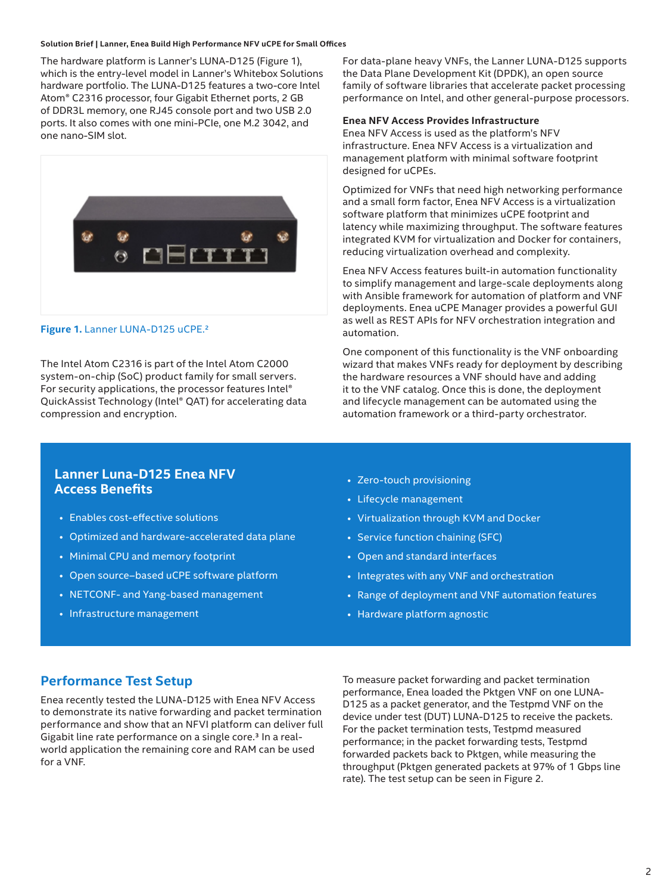#### **Solution Brief | Lanner, Enea Build High Performance NFV uCPE for Small Offices**

The hardware platform is Lanner's LUNA-D125 (Figure 1), which is the entry-level model in Lanner's Whitebox Solutions hardware portfolio. The LUNA-D125 features a two-core Intel Atom® C2316 processor, four Gigabit Ethernet ports, 2 GB of DDR3L memory, one RJ45 console port and two USB 2.0 ports. It also comes with one mini-PCIe, one M.2 3042, and one nano-SIM slot.



#### Figure 1. Lanner LUNA-D125 uCPE.<sup>2</sup>

The Intel Atom C2316 is part of the Intel Atom C2000 system-on-chip (SoC) product family for small servers. For security applications, the processor features Intel® QuickAssist Technology (Intel® QAT) for accelerating data compression and encryption.

For data-plane heavy VNFs, the Lanner LUNA-D125 supports the Data Plane Development Kit (DPDK), an open source family of software libraries that accelerate packet processing performance on Intel, and other general-purpose processors.

#### **Enea NFV Access Provides Infrastructure**

Enea NFV Access is used as the platform's NFV infrastructure. Enea NFV Access is a virtualization and management platform with minimal software footprint designed for uCPEs.

Optimized for VNFs that need high networking performance and a small form factor, Enea NFV Access is a virtualization software platform that minimizes uCPE footprint and latency while maximizing throughput. The software features integrated KVM for virtualization and Docker for containers, reducing virtualization overhead and complexity.

Enea NFV Access features built-in automation functionality to simplify management and large-scale deployments along with Ansible framework for automation of platform and VNF deployments. Enea uCPE Manager provides a powerful GUI as well as REST APIs for NFV orchestration integration and automation.

One component of this functionality is the VNF onboarding wizard that makes VNFs ready for deployment by describing the hardware resources a VNF should have and adding it to the VNF catalog. Once this is done, the deployment and lifecycle management can be automated using the automation framework or a third-party orchestrator.

## **Lanner Luna-D125 Enea NFV Access Benefits**

- Enables cost-effective solutions
- Optimized and hardware-accelerated data plane
- Minimal CPU and memory footprint
- Open source–based uCPE software platform
- NETCONF- and Yang-based management
- Infrastructure management
- Zero-touch provisioning
- Lifecycle management
- Virtualization through KVM and Docker
- Service function chaining (SFC)
- Open and standard interfaces
- Integrates with any VNF and orchestration
- Range of deployment and VNF automation features
- Hardware platform agnostic

## **Performance Test Setup**

Enea recently tested the LUNA-D125 with Enea NFV Access to demonstrate its native forwarding and packet termination performance and show that an NFVI platform can deliver full Gigabit line rate performance on a single core.3 In a realworld application the remaining core and RAM can be used for a VNF.

To measure packet forwarding and packet termination performance, Enea loaded the Pktgen VNF on one LUNA-D125 as a packet generator, and the Testpmd VNF on the device under test (DUT) LUNA-D125 to receive the packets. For the packet termination tests, Testpmd measured performance; in the packet forwarding tests, Testpmd forwarded packets back to Pktgen, while measuring the throughput (Pktgen generated packets at 97% of 1 Gbps line rate). The test setup can be seen in Figure 2.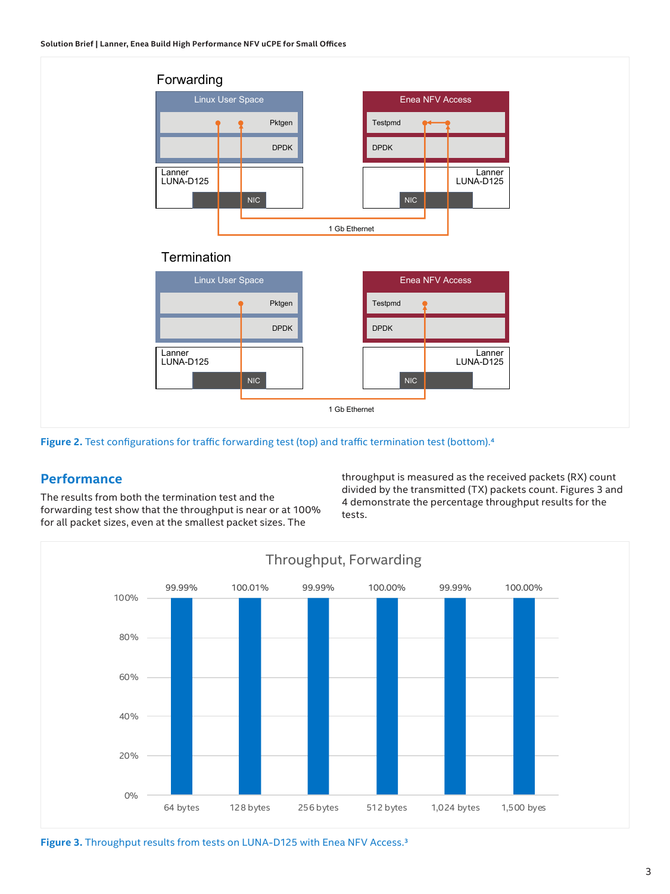

**Figure 2.** Test configurations for traffic forwarding test (top) and traffic termination test (bottom).<sup>4</sup>

## **Performance**

The results from both the termination test and the forwarding test show that the throughput is near or at 100% for all packet sizes, even at the smallest packet sizes. The

throughput is measured as the received packets (RX) count divided by the transmitted (TX) packets count. Figures 3 and 4 demonstrate the percentage throughput results for the tests.



Figure 3. Throughput results from tests on LUNA-D125 with Enea NFV Access.<sup>3</sup>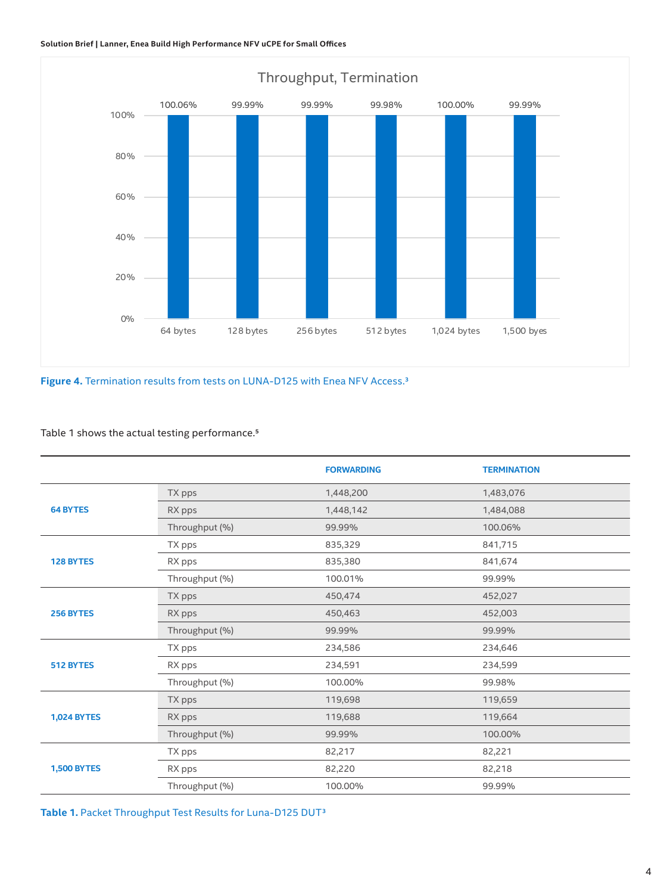

Figure 4. Termination results from tests on LUNA-D125 with Enea NFV Access.<sup>3</sup>

#### Table 1 shows the actual testing performance.5

|                    |                | <b>FORWARDING</b> | <b>TERMINATION</b> |
|--------------------|----------------|-------------------|--------------------|
| <b>64 BYTES</b>    | TX pps         | 1,448,200         | 1,483,076          |
|                    | RX pps         | 1,448,142         | 1,484,088          |
|                    | Throughput (%) | 99.99%            | 100.06%            |
| <b>128 BYTES</b>   | TX pps         | 835,329           | 841,715            |
|                    | RX pps         | 835,380           | 841,674            |
|                    | Throughput (%) | 100.01%           | 99.99%             |
| 256 BYTES          | TX pps         | 450,474           | 452,027            |
|                    | RX pps         | 450,463           | 452,003            |
|                    | Throughput (%) | 99.99%            | 99.99%             |
| 512 BYTES          | TX pps         | 234,586           | 234,646            |
|                    | RX pps         | 234,591           | 234,599            |
|                    | Throughput (%) | 100.00%           | 99.98%             |
| <b>1,024 BYTES</b> | TX pps         | 119,698           | 119,659            |
|                    | RX pps         | 119,688           | 119,664            |
|                    | Throughput (%) | 99.99%            | 100.00%            |
| <b>1,500 BYTES</b> | TX pps         | 82,217            | 82,221             |
|                    | RX pps         | 82,220            | 82,218             |
|                    | Throughput (%) | 100.00%           | 99.99%             |

**Table 1.** Packet Throughput Test Results for Luna-D125 DUT3